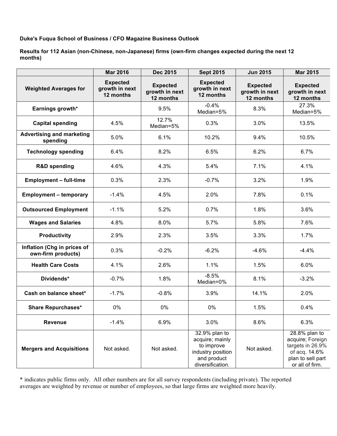**Duke's Fuqua School of Business / CFO Magazine Business Outlook**

**Results for 112 Asian (non-Chinese, non-Japanese) firms (own-firm changes expected during the next 12 months)**

|                                                   | <b>Mar 2016</b>                                | <b>Dec 2015</b>                                | <b>Sept 2015</b>                                                                                       | <b>Jun 2015</b>                                | <b>Mar 2015</b>                                                                                                |
|---------------------------------------------------|------------------------------------------------|------------------------------------------------|--------------------------------------------------------------------------------------------------------|------------------------------------------------|----------------------------------------------------------------------------------------------------------------|
| <b>Weighted Averages for</b>                      | <b>Expected</b><br>growth in next<br>12 months | <b>Expected</b><br>growth in next<br>12 months | <b>Expected</b><br>growth in next<br>12 months                                                         | <b>Expected</b><br>growth in next<br>12 months | <b>Expected</b><br>growth in next<br>12 months                                                                 |
| Earnings growth*                                  |                                                | 9.5%                                           | $-0.4%$<br>Median=5%                                                                                   | 8.3%                                           | 27.3%<br>Median=5%                                                                                             |
| <b>Capital spending</b>                           | 4.5%                                           | 12.7%<br>Median=5%                             | 0.3%                                                                                                   | 3.0%                                           | 13.5%                                                                                                          |
| <b>Advertising and marketing</b><br>spending      | 5.0%                                           | 6.1%                                           | 10.2%                                                                                                  | 9.4%                                           | 10.5%                                                                                                          |
| <b>Technology spending</b>                        | 6.4%                                           | 8.2%                                           | 6.5%                                                                                                   | 6.2%                                           | 6.7%                                                                                                           |
| <b>R&amp;D spending</b>                           | 4.6%                                           | 4.3%                                           | 5.4%                                                                                                   | 7.1%                                           | 4.1%                                                                                                           |
| <b>Employment - full-time</b>                     | 0.3%                                           | 2.3%                                           | $-0.7%$                                                                                                | 3.2%                                           | 1.9%                                                                                                           |
| <b>Employment - temporary</b>                     | $-1.4%$                                        | 4.5%                                           | 2.0%                                                                                                   | 7.8%                                           | 0.1%                                                                                                           |
| <b>Outsourced Employment</b>                      | $-1.1%$                                        | 5.2%                                           | 0.7%                                                                                                   | 1.8%                                           | 3.6%                                                                                                           |
| <b>Wages and Salaries</b>                         | 4.8%                                           | 8.0%                                           | 5.7%                                                                                                   | 5.8%                                           | 7.6%                                                                                                           |
| <b>Productivity</b>                               | 2.9%                                           | 2.3%                                           | 3.5%                                                                                                   | 3.3%                                           | 1.7%                                                                                                           |
| Inflation (Chg in prices of<br>own-firm products) | 0.3%                                           | $-0.2%$                                        | $-6.2%$                                                                                                | $-4.6%$                                        | $-4.4%$                                                                                                        |
| <b>Health Care Costs</b>                          | 4.1%                                           | 2.6%                                           | 1.1%                                                                                                   | 1.5%                                           | 6.0%                                                                                                           |
| Dividends*                                        | $-0.7%$                                        | 1.8%                                           | $-8.5%$<br>Median=0%                                                                                   | 8.1%                                           | $-3.2%$                                                                                                        |
| Cash on balance sheet*                            | $-1.7%$                                        | $-0.8%$                                        | 3.9%                                                                                                   | 14.1%                                          | 2.0%                                                                                                           |
| <b>Share Repurchases*</b>                         | 0%                                             | 0%                                             | 0%                                                                                                     | 1.5%                                           | 0.4%                                                                                                           |
| <b>Revenue</b>                                    | $-1.4%$                                        | 6.9%                                           | 3.0%                                                                                                   | 8.6%                                           | 6.3%                                                                                                           |
| <b>Mergers and Acquisitions</b>                   | Not asked.                                     | Not asked.                                     | 32.9% plan to<br>acquire; mainly<br>to improve<br>industry position<br>and product<br>diversification. | Not asked.                                     | 28.8% plan to<br>acquire; Foreign<br>targets in 26.9%<br>of acq. 14.6%<br>plan to sell part<br>or all of firm. |

\* indicates public firms only. All other numbers are for all survey respondents (including private). The reported averages are weighted by revenue or number of employees, so that large firms are weighted more heavily.